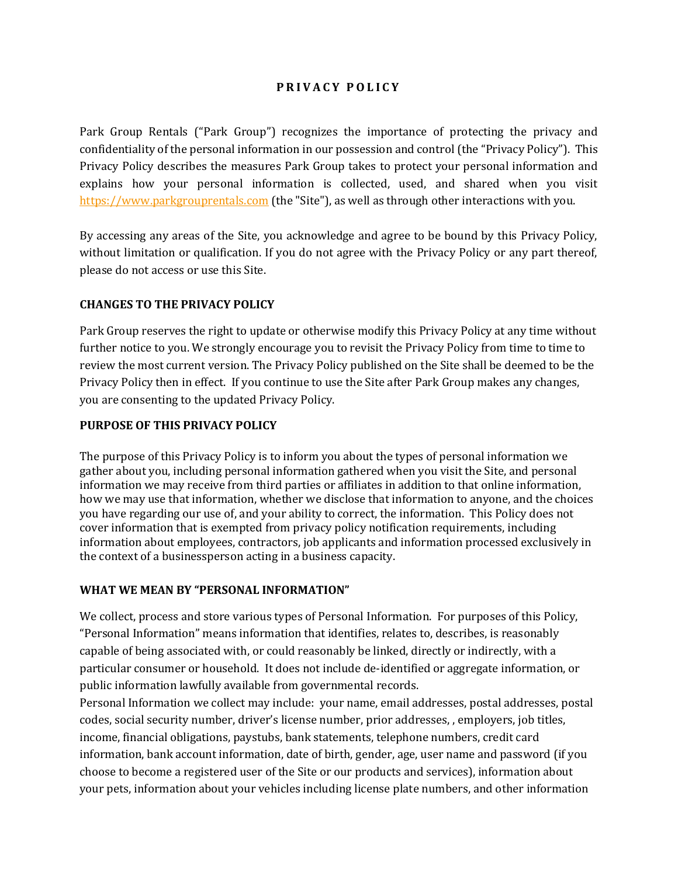## **P R I V A C Y P O L I C Y**

Park Group Rentals ("Park Group") recognizes the importance of protecting the privacy and confidentiality of the personal information in our possession and control (the "Privacy Policy"). This Privacy Policy describes the measures Park Group takes to protect your personal information and explains how your personal information is collected, used, and shared when you visit [https://www.parkgrouprentals.com](https://www.parkgrouprentals.com/) (the "Site"), as well as through other interactions with you.

By accessing any areas of the Site, you acknowledge and agree to be bound by this Privacy Policy, without limitation or qualification. If you do not agree with the Privacy Policy or any part thereof, please do not access or use this Site.

## **CHANGES TO THE PRIVACY POLICY**

Park Group reserves the right to update or otherwise modify this Privacy Policy at any time without further notice to you. We strongly encourage you to revisit the Privacy Policy from time to time to review the most current version. The Privacy Policy published on the Site shall be deemed to be the Privacy Policy then in effect. If you continue to use the Site after Park Group makes any changes, you are consenting to the updated Privacy Policy.

### **PURPOSE OF THIS PRIVACY POLICY**

The purpose of this Privacy Policy is to inform you about the types of personal information we gather about you, including personal information gathered when you visit the Site, and personal information we may receive from third parties or affiliates in addition to that online information, how we may use that information, whether we disclose that information to anyone, and the choices you have regarding our use of, and your ability to correct, the information. This Policy does not cover information that is exempted from privacy policy notification requirements, including information about employees, contractors, job applicants and information processed exclusively in the context of a businessperson acting in a business capacity.

### **WHAT WE MEAN BY "PERSONAL INFORMATION"**

We collect, process and store various types of Personal Information. For purposes of this Policy, "Personal Information" means information that identifies, relates to, describes, is reasonably capable of being associated with, or could reasonably be linked, directly or indirectly, with a particular consumer or household. It does not include de-identified or aggregate information, or public information lawfully available from governmental records.

Personal Information we collect may include: your name, email addresses, postal addresses, postal codes, social security number, driver's license number, prior addresses, , employers, job titles, income, financial obligations, paystubs, bank statements, telephone numbers, credit card information, bank account information, date of birth, gender, age, user name and password (if you choose to become a registered user of the Site or our products and services), information about your pets, information about your vehicles including license plate numbers, and other information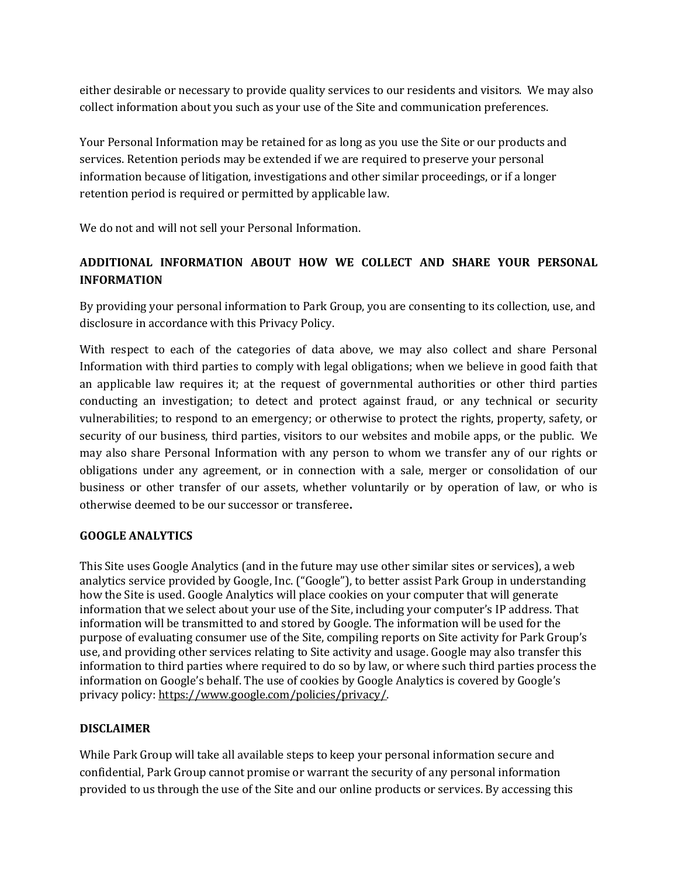either desirable or necessary to provide quality services to our residents and visitors. We may also collect information about you such as your use of the Site and communication preferences.

Your Personal Information may be retained for as long as you use the Site or our products and services. Retention periods may be extended if we are required to preserve your personal information because of litigation, investigations and other similar proceedings, or if a longer retention period is required or permitted by applicable law.

We do not and will not sell your Personal Information.

# **ADDITIONAL INFORMATION ABOUT HOW WE COLLECT AND SHARE YOUR PERSONAL INFORMATION**

By providing your personal information to Park Group, you are consenting to its collection, use, and disclosure in accordance with this Privacy Policy.

With respect to each of the categories of data above, we may also collect and share Personal Information with third parties to comply with legal obligations; when we believe in good faith that an applicable law requires it; at the request of governmental authorities or other third parties conducting an investigation; to detect and protect against fraud, or any technical or security vulnerabilities; to respond to an emergency; or otherwise to protect the rights, property, safety, or security of our business, third parties, visitors to our websites and mobile apps, or the public. We may also share Personal Information with any person to whom we transfer any of our rights or obligations under any agreement, or in connection with a sale, merger or consolidation of our business or other transfer of our assets, whether voluntarily or by operation of law, or who is otherwise deemed to be our successor or transferee**.**

### **GOOGLE ANALYTICS**

This Site uses Google Analytics (and in the future may use other similar sites or services), a web analytics service provided by Google, Inc. ("Google"), to better assist Park Group in understanding how the Site is used. Google Analytics will place cookies on your computer that will generate information that we select about your use of the Site, including your computer's IP address. That information will be transmitted to and stored by Google. The information will be used for the purpose of evaluating consumer use of the Site, compiling reports on Site activity for Park Group's use, and providing other services relating to Site activity and usage. Google may also transfer this information to third parties where required to do so by law, or where such third parties process the information on Google's behalf. The use of cookies by Google Analytics is covered by Google's privacy policy: [https://www.google.com/policies/privacy/.](https://www.google.com/policies/privacy/)

### **DISCLAIMER**

While Park Group will take all available steps to keep your personal information secure and confidential, Park Group cannot promise or warrant the security of any personal information provided to us through the use of the Site and our online products or services. By accessing this